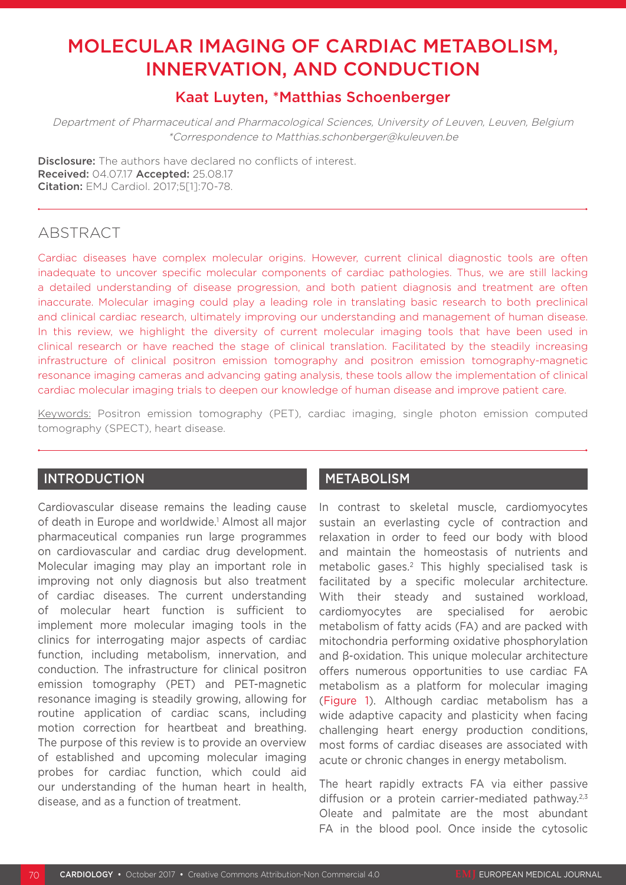# MOLECULAR IMAGING OF CARDIAC METABOLISM, INNERVATION, AND CONDUCTION

# Kaat Luyten, \*Matthias Schoenberger

Department of Pharmaceutical and Pharmacological Sciences, University of Leuven, Leuven, Belgium \*Correspondence to Matthias.schonberger@kuleuven.be

**Disclosure:** The authors have declared no conflicts of interest. Received: 04.07.17 Accepted: 25.08.17 Citation: EMJ Cardiol. 2017;5[1]:70-78.

# ABSTRACT

Cardiac diseases have complex molecular origins. However, current clinical diagnostic tools are often inadequate to uncover specific molecular components of cardiac pathologies. Thus, we are still lacking a detailed understanding of disease progression, and both patient diagnosis and treatment are often inaccurate. Molecular imaging could play a leading role in translating basic research to both preclinical and clinical cardiac research, ultimately improving our understanding and management of human disease. In this review, we highlight the diversity of current molecular imaging tools that have been used in clinical research or have reached the stage of clinical translation. Facilitated by the steadily increasing infrastructure of clinical positron emission tomography and positron emission tomography-magnetic resonance imaging cameras and advancing gating analysis, these tools allow the implementation of clinical cardiac molecular imaging trials to deepen our knowledge of human disease and improve patient care.

Keywords: Positron emission tomography (PET), cardiac imaging, single photon emission computed tomography (SPECT), heart disease.

# INTRODUCTION

Cardiovascular disease remains the leading cause of death in Europe and worldwide.<sup>1</sup> Almost all major pharmaceutical companies run large programmes on cardiovascular and cardiac drug development. Molecular imaging may play an important role in improving not only diagnosis but also treatment of cardiac diseases. The current understanding of molecular heart function is sufficient to implement more molecular imaging tools in the clinics for interrogating major aspects of cardiac function, including metabolism, innervation, and conduction. The infrastructure for clinical positron emission tomography (PET) and PET-magnetic resonance imaging is steadily growing, allowing for routine application of cardiac scans, including motion correction for heartbeat and breathing. The purpose of this review is to provide an overview of established and upcoming molecular imaging probes for cardiac function, which could aid our understanding of the human heart in health, disease, and as a function of treatment.

## METABOLISM

In contrast to skeletal muscle, cardiomyocytes sustain an everlasting cycle of contraction and relaxation in order to feed our body with blood and maintain the homeostasis of nutrients and metabolic gases.<sup>2</sup> This highly specialised task is facilitated by a specific molecular architecture. With their steady and sustained workload. cardiomyocytes are specialised for aerobic metabolism of fatty acids (FA) and are packed with mitochondria performing oxidative phosphorylation and β-oxidation. This unique molecular architecture offers numerous opportunities to use cardiac FA metabolism as a platform for molecular imaging (Figure 1). Although cardiac metabolism has a wide adaptive capacity and plasticity when facing challenging heart energy production conditions, most forms of cardiac diseases are associated with acute or chronic changes in energy metabolism.

The heart rapidly extracts FA via either passive diffusion or a protein carrier-mediated pathway.<sup>2,3</sup> Oleate and palmitate are the most abundant FA in the blood pool. Once inside the cytosolic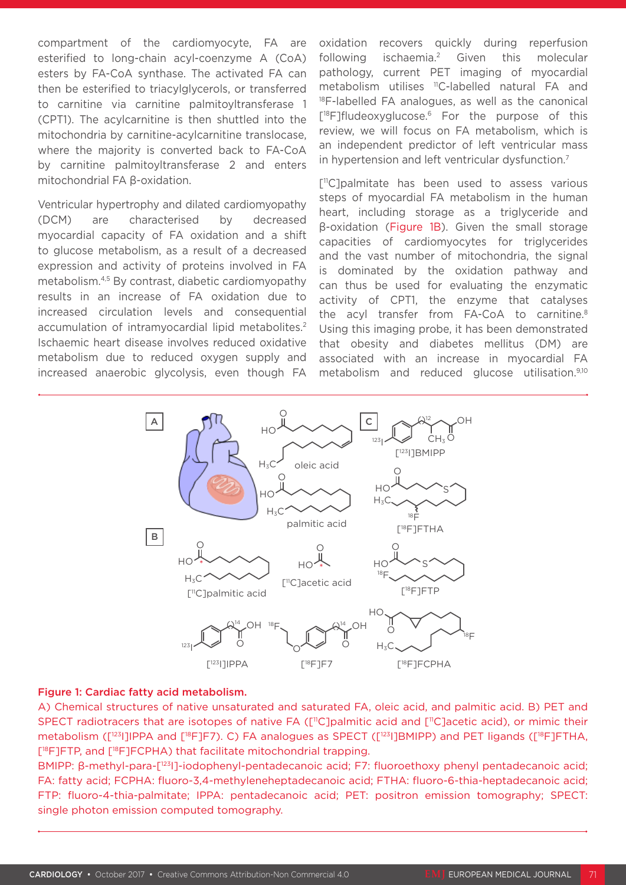compartment of the cardiomyocyte, FA are esterified to long-chain acyl-coenzyme A (CoA) esters by FA-CoA synthase. The activated FA can then be esterified to triacylglycerols, or transferred to carnitine via carnitine palmitoyltransferase 1 (CPT1). The acylcarnitine is then shuttled into the mitochondria by carnitine-acylcarnitine translocase, where the majority is converted back to FA-CoA by carnitine palmitoyltransferase 2 and enters mitochondrial FA β-oxidation.

Ventricular hypertrophy and dilated cardiomyopathy (DCM) are characterised by decreased myocardial capacity of FA oxidation and a shift to glucose metabolism, as a result of a decreased expression and activity of proteins involved in FA metabolism.4,5 By contrast, diabetic cardiomyopathy results in an increase of FA oxidation due to increased circulation levels and consequential accumulation of intramyocardial lipid metabolites.<sup>2</sup> Ischaemic heart disease involves reduced oxidative metabolism due to reduced oxygen supply and increased anaerobic glycolysis, even though FA

oxidation recovers quickly during reperfusion following ischaemia.2 Given this molecular pathology, current PET imaging of myocardial metabolism utilises 11C-labelled natural FA and <sup>18</sup>F-labelled FA analogues, as well as the canonical [<sup>18</sup>F]fludeoxyglucose.<sup>6</sup> For the purpose of this review, we will focus on FA metabolism, which is an independent predictor of left ventricular mass in hypertension and left ventricular dysfunction.<sup>7</sup>

[<sup>11</sup>C]palmitate has been used to assess various steps of myocardial FA metabolism in the human heart, including storage as a triglyceride and β-oxidation (Figure 1B). Given the small storage capacities of cardiomyocytes for triglycerides and the vast number of mitochondria, the signal is dominated by the oxidation pathway and can thus be used for evaluating the enzymatic activity of CPT1, the enzyme that catalyses the acyl transfer from FA-CoA to carnitine.<sup>8</sup> Using this imaging probe, it has been demonstrated that obesity and diabetes mellitus (DM) are associated with an increase in myocardial FA metabolism and reduced glucose utilisation.9,10



#### Figure 1: Cardiac fatty acid metabolism.

A) Chemical structures of native unsaturated and saturated FA, oleic acid, and palmitic acid. B) PET and SPECT radiotracers that are isotopes of native FA ([<sup>11</sup>C]palmitic acid and [<sup>11</sup>C]acetic acid), or mimic their metabolism ([<sup>123</sup>]]IPPA and [<sup>18</sup>F]F7). C) FA analogues as SPECT ([<sup>123</sup>]]BMIPP) and PET ligands ([<sup>18</sup>F]FTHA, [18F]FTP, and [18F]FCPHA) that facilitate mitochondrial trapping.

BMIPP: β-methyl-para-[123I]-iodophenyl-pentadecanoic acid; F7: fluoroethoxy phenyl pentadecanoic acid; FA: fatty acid; FCPHA: fluoro-3,4-methyleneheptadecanoic acid; FTHA: fluoro-6-thia-heptadecanoic acid; FTP: fluoro-4-thia-palmitate; IPPA: pentadecanoic acid; PET: positron emission tomography; SPECT: single photon emission computed tomography.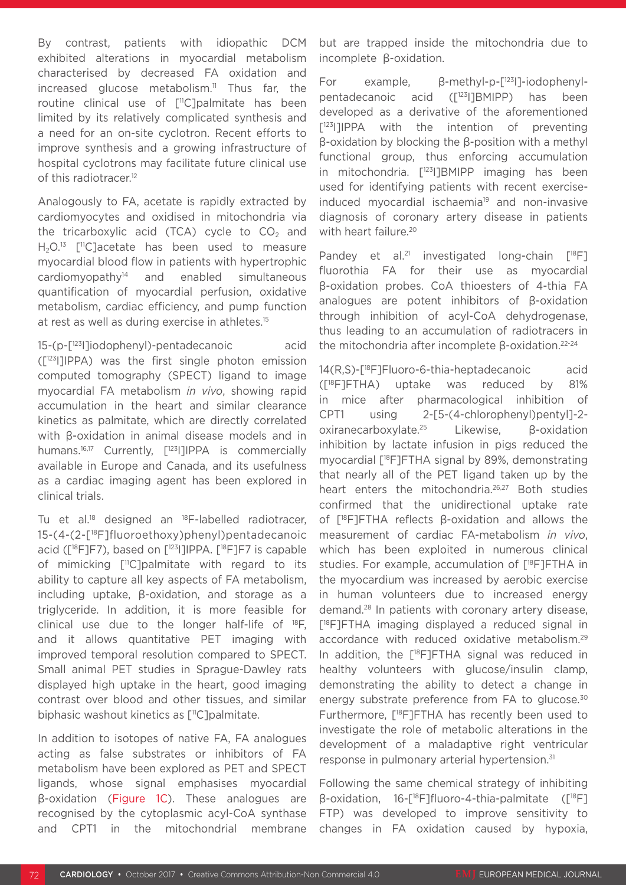By contrast, patients with idiopathic DCM exhibited alterations in myocardial metabolism characterised by decreased FA oxidation and increased glucose metabolism.<sup>11</sup> Thus far, the routine clinical use of [<sup>11</sup>C]palmitate has been limited by its relatively complicated synthesis and a need for an on-site cyclotron. Recent efforts to improve synthesis and a growing infrastructure of hospital cyclotrons may facilitate future clinical use of this radiotracer.<sup>12</sup>

Analogously to FA, acetate is rapidly extracted by cardiomyocytes and oxidised in mitochondria via the tricarboxylic acid (TCA) cycle to  $CO<sub>2</sub>$  and H<sub>2</sub>O.<sup>13</sup> [<sup>11</sup>C]acetate has been used to measure myocardial blood flow in patients with hypertrophic cardiomyopathy14 and enabled simultaneous quantification of myocardial perfusion, oxidative metabolism, cardiac efficiency, and pump function at rest as well as during exercise in athletes.15

15-(p-[123I]iodophenyl)-pentadecanoic acid ([123I]IPPA) was the first single photon emission computed tomography (SPECT) ligand to image myocardial FA metabolism *in vivo*, showing rapid accumulation in the heart and similar clearance kinetics as palmitate, which are directly correlated with β-oxidation in animal disease models and in humans.<sup>16,17</sup> Currently, [<sup>123</sup>]]IPPA is commercially available in Europe and Canada, and its usefulness as a cardiac imaging agent has been explored in clinical trials.

Tu et al.<sup>18</sup> designed an <sup>18</sup>F-labelled radiotracer, 15-(4-(2-[18F]fluoroethoxy)phenyl)pentadecanoic acid ( $[18F]F7$ ), based on  $[123]$ ]IPPA.  $[18F]F7$  is capable of mimicking [<sup>11</sup>C]palmitate with regard to its ability to capture all key aspects of FA metabolism, including uptake, β-oxidation, and storage as a triglyceride. In addition, it is more feasible for clinical use due to the longer half-life of 18F, and it allows quantitative PET imaging with improved temporal resolution compared to SPECT. Small animal PET studies in Sprague-Dawley rats displayed high uptake in the heart, good imaging contrast over blood and other tissues, and similar biphasic washout kinetics as [<sup>11</sup>C]palmitate.

In addition to isotopes of native FA, FA analogues acting as false substrates or inhibitors of FA metabolism have been explored as PET and SPECT ligands, whose signal emphasises myocardial β-oxidation (Figure 1C). These analogues are recognised by the cytoplasmic acyl-CoA synthase and CPT1 in the mitochondrial membrane

but are trapped inside the mitochondria due to incomplete β-oxidation.

For example, β-methyl-p-[123I]-iodophenylpentadecanoic acid ([123I]BMIPP) has been developed as a derivative of the aforementioned [<sup>123</sup>]]IPPA with the intention of preventing β-oxidation by blocking the β-position with a methyl functional group, thus enforcing accumulation in mitochondria. [123I]BMIPP imaging has been used for identifying patients with recent exerciseinduced myocardial ischaemia<sup>19</sup> and non-invasive diagnosis of coronary artery disease in patients with heart failure.<sup>20</sup>

Pandey et al.<sup>21</sup> investigated long-chain [<sup>18</sup>F] fluorothia FA for their use as myocardial β-oxidation probes. CoA thioesters of 4-thia FA analogues are potent inhibitors of β-oxidation through inhibition of acyl-CoA dehydrogenase, thus leading to an accumulation of radiotracers in the mitochondria after incomplete β-oxidation.<sup>22-24</sup>

14(R,S)-[18F]Fluoro-6-thia-heptadecanoic acid ([18F]FTHA) uptake was reduced by 81% in mice after pharmacological inhibition of CPT1 using 2-[5-(4-chlorophenyl)pentyl]-2 oxiranecarboxylate.25 Likewise, β-oxidation inhibition by lactate infusion in pigs reduced the myocardial [18F]FTHA signal by 89%, demonstrating that nearly all of the PET ligand taken up by the heart enters the mitochondria.<sup>26,27</sup> Both studies confirmed that the unidirectional uptake rate of [18F]FTHA reflects β-oxidation and allows the measurement of cardiac FA-metabolism *in vivo*, which has been exploited in numerous clinical studies. For example, accumulation of [18F]FTHA in the myocardium was increased by aerobic exercise in human volunteers due to increased energy demand.28 In patients with coronary artery disease, [18F]FTHA imaging displayed a reduced signal in accordance with reduced oxidative metabolism.29 In addition, the [<sup>18</sup>F]FTHA signal was reduced in healthy volunteers with glucose/insulin clamp, demonstrating the ability to detect a change in energy substrate preference from FA to glucose.<sup>30</sup> Furthermore, [18F]FTHA has recently been used to investigate the role of metabolic alterations in the development of a maladaptive right ventricular response in pulmonary arterial hypertension.31

Following the same chemical strategy of inhibiting β-oxidation, 16-[18F]fluoro-4-thia-palmitate ([18F] FTP) was developed to improve sensitivity to changes in FA oxidation caused by hypoxia,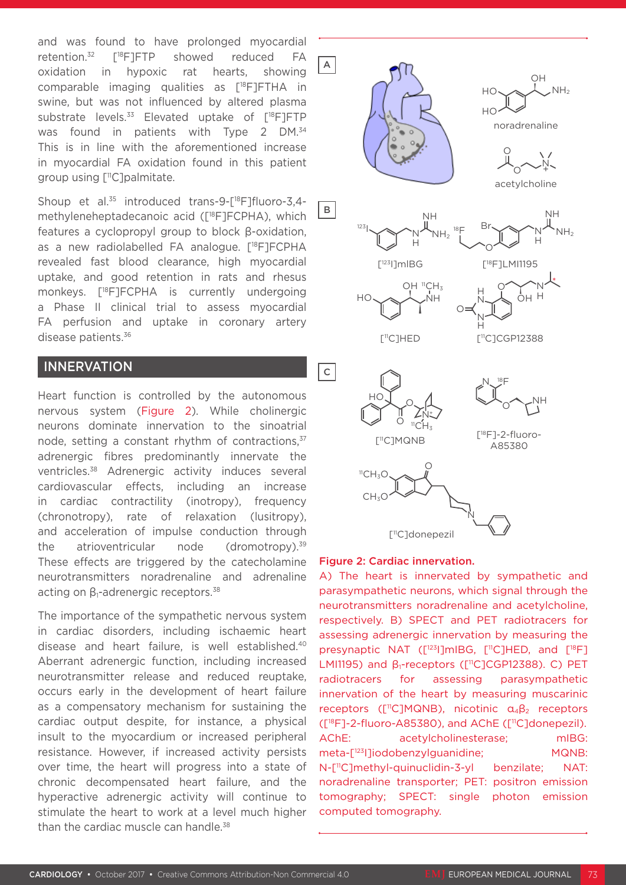and was found to have prolonged myocardial retention.32 [18F]FTP showed reduced FA oxidation in hypoxic rat hearts, showing comparable imaging qualities as [18F]FTHA in swine, but was not influenced by altered plasma substrate levels. $33$  Elevated uptake of  $[^{18}F]FTP$ was found in patients with Type 2 DM.<sup>34</sup> This is in line with the aforementioned increase in myocardial FA oxidation found in this patient group using  $\lceil$ <sup>11</sup>C]palmitate.

Shoup et al.<sup>35</sup> introduced trans-9-[<sup>18</sup>F]fluoro-3,4methyleneheptadecanoic acid ([<sup>18</sup>F]FCPHA), which features a cyclopropyl group to block β-oxidation, as a new radiolabelled FA analogue. [18F]FCPHA revealed fast blood clearance, high myocardial uptake, and good retention in rats and rhesus monkeys. [18F]FCPHA is currently undergoing a Phase II clinical trial to assess myocardial FA perfusion and uptake in coronary artery disease patients.36

## INNERVATION

Heart function is controlled by the autonomous nervous system (Figure 2). While cholinergic neurons dominate innervation to the sinoatrial node, setting a constant rhythm of contractions, 37 adrenergic fibres predominantly innervate the ventricles.38 Adrenergic activity induces several cardiovascular effects, including an increase in cardiac contractility (inotropy), frequency (chronotropy), rate of relaxation (lusitropy), and acceleration of impulse conduction through the atrioventricular node (dromotropy). $39$ These effects are triggered by the catecholamine neurotransmitters noradrenaline and adrenaline acting on  $β₁$ -adrenergic receptors.<sup>38</sup>

The importance of the sympathetic nervous system in cardiac disorders, including ischaemic heart disease and heart failure, is well established.40 Aberrant adrenergic function, including increased neurotransmitter release and reduced reuptake, occurs early in the development of heart failure as a compensatory mechanism for sustaining the cardiac output despite, for instance, a physical insult to the myocardium or increased peripheral resistance. However, if increased activity persists over time, the heart will progress into a state of chronic decompensated heart failure, and the hyperactive adrenergic activity will continue to stimulate the heart to work at a level much higher than the cardiac muscle can handle.<sup>38</sup>



#### Figure 2: Cardiac innervation.

A) The heart is innervated by sympathetic and parasympathetic neurons, which signal through the neurotransmitters noradrenaline and acetylcholine, respectively. B) SPECT and PET radiotracers for assessing adrenergic innervation by measuring the presynaptic NAT ([<sup>123</sup>]]mIBG, [<sup>11</sup>C]HED, and [<sup>18</sup>F] LMI1195) and β1-receptors ([11C]CGP12388). C) PET radiotracers for assessing parasympathetic innervation of the heart by measuring muscarinic receptors ( $[^{\text{11}}C]$ MQNB), nicotinic  $\alpha_4\beta_2$  receptors ([18F]-2-fluoro-A85380), and AChE ([11C]donepezil). AChE: acetylcholinesterase; mIBG: meta-[123I]iodobenzylguanidine; MQNB: N-[11C]methyl-quinuclidin-3-yl benzilate; NAT: noradrenaline transporter; PET: positron emission tomography; SPECT: single photon emission computed tomography.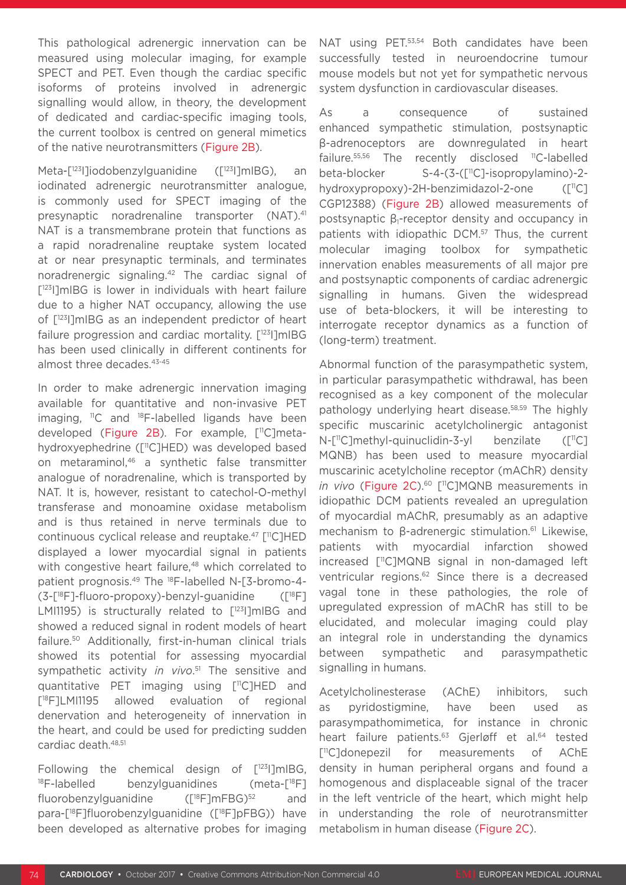This pathological adrenergic innervation can be measured using molecular imaging, for example SPECT and PET. Even though the cardiac specific isoforms of proteins involved in adrenergic signalling would allow, in theory, the development of dedicated and cardiac-specific imaging tools, the current toolbox is centred on general mimetics of the native neurotransmitters (Figure 2B).

Meta-[<sup>123</sup>]]iodobenzylguanidine ([<sup>123</sup>]]mlBG), an iodinated adrenergic neurotransmitter analogue, is commonly used for SPECT imaging of the presynaptic noradrenaline transporter (NAT).41 NAT is a transmembrane protein that functions as a rapid noradrenaline reuptake system located at or near presynaptic terminals, and terminates noradrenergic signaling.42 The cardiac signal of [<sup>123</sup>I]mIBG is lower in individuals with heart failure due to a higher NAT occupancy, allowing the use of [123I]mIBG as an independent predictor of heart failure progression and cardiac mortality. [123] mIBG has been used clinically in different continents for almost three decades.43-45

In order to make adrenergic innervation imaging available for quantitative and non-invasive PET imaging,  $^{11}C$  and  $^{18}F$ -labelled ligands have been developed (Figure 2B). For example, [<sup>11</sup>C]metahydroxyephedrine ([11C]HED) was developed based on metaraminol,<sup>46</sup> a synthetic false transmitter analogue of noradrenaline, which is transported by NAT. It is, however, resistant to catechol-O-methyl transferase and monoamine oxidase metabolism and is thus retained in nerve terminals due to continuous cyclical release and reuptake.47 [11C]HED displayed a lower myocardial signal in patients with congestive heart failure,<sup>48</sup> which correlated to patient prognosis.49 The 18F-labelled N-[3-bromo-4-  $(3-\sqrt{18F}-f|uoro-propoxy)-benzyl-guanidine$  ( $\sqrt{18F}$ ) LMI1195) is structurally related to [<sup>123</sup>]]mIBG and showed a reduced signal in rodent models of heart failure.50 Additionally, first-in-human clinical trials showed its potential for assessing myocardial sympathetic activity *in vivo*. 51 The sensitive and quantitative PET imaging using [11C]HED and [<sup>18</sup>F]LMI1195 allowed evaluation of regional denervation and heterogeneity of innervation in the heart, and could be used for predicting sudden cardiac death.48,51

Following the chemical design of  $[123]$ ]mIBG,  $18F$ -labelled benzylguanidines (meta- $[18F]$ fluorobenzylguanidine ( $[18F]mFBG$ )<sup>52</sup> and para-[18F]fluorobenzylguanidine ([18F]pFBG)) have been developed as alternative probes for imaging

NAT using PET.<sup>53,54</sup> Both candidates have been successfully tested in neuroendocrine tumour mouse models but not yet for sympathetic nervous system dysfunction in cardiovascular diseases.

As a consequence of sustained enhanced sympathetic stimulation, postsynaptic β-adrenoceptors are downregulated in heart failure.<sup>55,56</sup> The recently disclosed <sup>11</sup>C-labelled beta-blocker S-4-(3-([11C]-isopropylamino)-2 hydroxypropoxy)-2H-benzimidazol-2-one  $(\lceil$ <sup>11</sup>C] CGP12388) (Figure 2B) allowed measurements of postsynaptic β<sub>1</sub>-receptor density and occupancy in patients with idiopathic DCM.57 Thus, the current molecular imaging toolbox for sympathetic innervation enables measurements of all major pre and postsynaptic components of cardiac adrenergic signalling in humans. Given the widespread use of beta-blockers, it will be interesting to interrogate receptor dynamics as a function of (long-term) treatment.

Abnormal function of the parasympathetic system, in particular parasympathetic withdrawal, has been recognised as a key component of the molecular pathology underlying heart disease.58,59 The highly specific muscarinic acetylcholinergic antagonist N-[<sup>11</sup>C]methyl-quinuclidin-3-yl benzilate ([<sup>11</sup>C] MQNB) has been used to measure myocardial muscarinic acetylcholine receptor (mAChR) density *in vivo* (Figure 2C).<sup>60</sup> [<sup>11</sup>C]MQNB measurements in idiopathic DCM patients revealed an upregulation of myocardial mAChR, presumably as an adaptive mechanism to β-adrenergic stimulation.<sup>61</sup> Likewise, patients with myocardial infarction showed increased [11C]MQNB signal in non-damaged left ventricular regions.<sup>62</sup> Since there is a decreased vagal tone in these pathologies, the role of upregulated expression of mAChR has still to be elucidated, and molecular imaging could play an integral role in understanding the dynamics between sympathetic and parasympathetic signalling in humans.

Acetylcholinesterase (AChE) inhibitors, such as pyridostigmine, have been used as parasympathomimetica, for instance in chronic heart failure patients.<sup>63</sup> Gjerløff et al.<sup>64</sup> tested [11C]donepezil for measurements of AChE density in human peripheral organs and found a homogenous and displaceable signal of the tracer in the left ventricle of the heart, which might help in understanding the role of neurotransmitter metabolism in human disease (Figure 2C).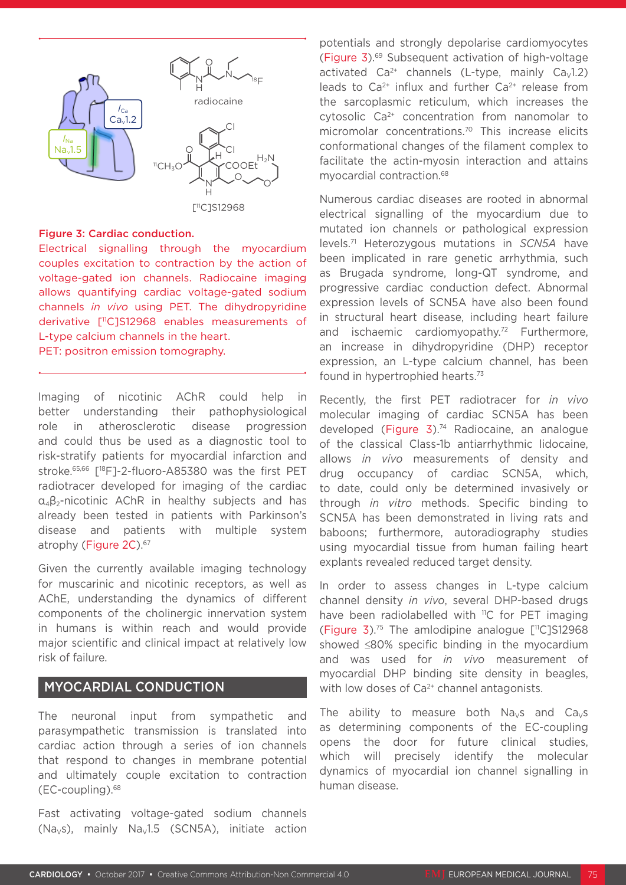

#### Figure 3: Cardiac conduction.

Electrical signalling through the myocardium couples excitation to contraction by the action of voltage-gated ion channels. Radiocaine imaging allows quantifying cardiac voltage-gated sodium channels *in vivo* using PET. The dihydropyridine derivative [11C]S12968 enables measurements of L-type calcium channels in the heart.

PET: positron emission tomography.

Imaging of nicotinic AChR could help in better understanding their pathophysiological role in atherosclerotic disease progression and could thus be used as a diagnostic tool to risk-stratify patients for myocardial infarction and stroke.65,66 [18F]-2-fluoro-A85380 was the first PET radiotracer developed for imaging of the cardiac α4β2-nicotinic AChR in healthy subjects and has already been tested in patients with Parkinson's disease and patients with multiple system atrophy (Figure 2C).<sup>67</sup>

Given the currently available imaging technology for muscarinic and nicotinic receptors, as well as AChE, understanding the dynamics of different components of the cholinergic innervation system in humans is within reach and would provide major scientific and clinical impact at relatively low risk of failure.

# MYOCARDIAL CONDUCTION

The neuronal input from sympathetic and parasympathetic transmission is translated into cardiac action through a series of ion channels that respond to changes in membrane potential and ultimately couple excitation to contraction (EC-coupling).68

Fast activating voltage-gated sodium channels (Na<sub>v</sub>s), mainly Na<sub>v</sub>1.5 (SCN5A), initiate action potentials and strongly depolarise cardiomyocytes (Figure 3).69 Subsequent activation of high-voltage activated  $Ca^{2+}$  channels (L-type, mainly  $Ca<sub>v</sub>1.2$ ) leads to  $Ca^{2+}$  influx and further  $Ca^{2+}$  release from the sarcoplasmic reticulum, which increases the cytosolic Ca2+ concentration from nanomolar to micromolar concentrations.70 This increase elicits conformational changes of the filament complex to facilitate the actin-myosin interaction and attains myocardial contraction.68

Numerous cardiac diseases are rooted in abnormal electrical signalling of the myocardium due to mutated ion channels or pathological expression levels.71 Heterozygous mutations in *SCN5A* have been implicated in rare genetic arrhythmia, such as Brugada syndrome, long-QT syndrome, and progressive cardiac conduction defect. Abnormal expression levels of SCN5A have also been found in structural heart disease, including heart failure and ischaemic cardiomyopathy.<sup>72</sup> Furthermore, an increase in dihydropyridine (DHP) receptor expression, an L-type calcium channel, has been found in hypertrophied hearts.73

Recently, the first PET radiotracer for *in vivo* molecular imaging of cardiac SCN5A has been developed (Figure 3).<sup>74</sup> Radiocaine, an analogue of the classical Class-1b antiarrhythmic lidocaine, allows *in vivo* measurements of density and drug occupancy of cardiac SCN5A, which, to date, could only be determined invasively or through *in vitro* methods. Specific binding to SCN5A has been demonstrated in living rats and baboons; furthermore, autoradiography studies using myocardial tissue from human failing heart explants revealed reduced target density.

In order to assess changes in L-type calcium channel density *in vivo*, several DHP-based drugs have been radiolabelled with <sup>11</sup>C for PET imaging (Figure 3).<sup>75</sup> The amlodipine analogue  $[$ <sup>11</sup>C]S12968 showed ≤80% specific binding in the myocardium and was used for *in vivo* measurement of myocardial DHP binding site density in beagles, with low doses of Ca<sup>2+</sup> channel antagonists.

The ability to measure both  $Na<sub>v</sub>s$  and  $Ca<sub>v</sub>s$ as determining components of the EC-coupling opens the door for future clinical studies, which will precisely identify the molecular dynamics of myocardial ion channel signalling in human disease.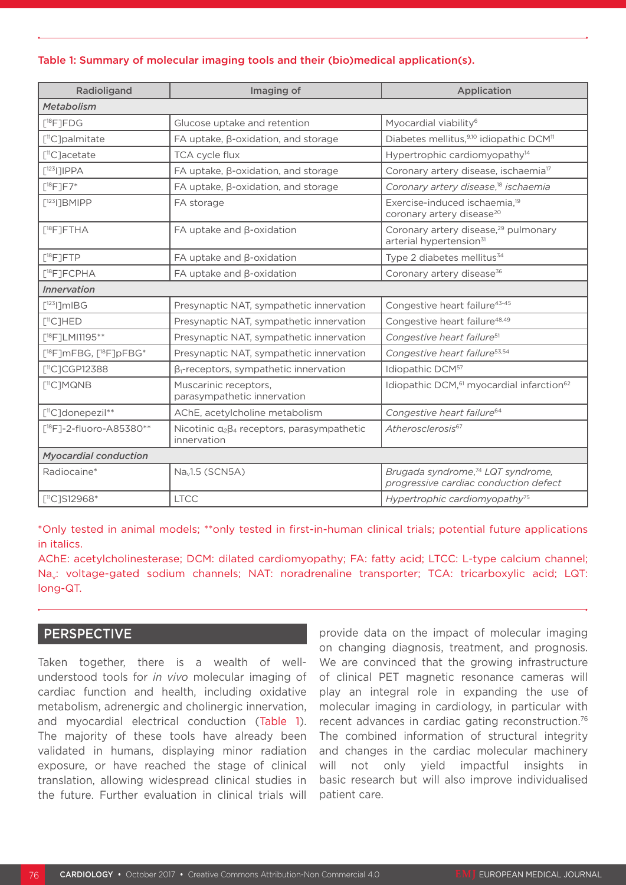#### Table 1: Summary of molecular imaging tools and their (bio)medical application(s).

| Radioligand                                     | Imaging of                                                            | Application                                                                             |
|-------------------------------------------------|-----------------------------------------------------------------------|-----------------------------------------------------------------------------------------|
| Metabolism                                      |                                                                       |                                                                                         |
| $\lceil$ <sup>18</sup> F <sub>1</sub> FDG       | Glucose uptake and retention                                          | Myocardial viability <sup>6</sup>                                                       |
| $[$ <sup>11</sup> C]palmitate                   | $FA$ uptake, $\beta$ -oxidation, and storage                          | Diabetes mellitus, <sup>9,10</sup> idiopathic DCM <sup>11</sup>                         |
| 「 <sup>11</sup> C]acetate                       | <b>TCA cycle flux</b>                                                 | Hypertrophic cardiomyopathy <sup>14</sup>                                               |
| $[123]$ ] IPPA                                  | FA uptake, $\beta$ -oxidation, and storage                            | Coronary artery disease, ischaemia <sup>17</sup>                                        |
| $[$ <sup>18</sup> F]F7*                         | FA uptake, β-oxidation, and storage                                   | Coronary artery disease, <sup>18</sup> ischaemia                                        |
| $[123]$ ]BMIPP                                  | FA storage                                                            | Exercise-induced ischaemia, <sup>19</sup><br>coronary artery disease <sup>20</sup>      |
| $[{}^{18}F]$ FTHA                               | FA uptake and $\beta$ -oxidation                                      | Coronary artery disease, <sup>29</sup> pulmonary<br>arterial hypertension <sup>31</sup> |
| $[{}^{18}F]$ FTP                                | FA uptake and $\beta$ -oxidation                                      | Type 2 diabetes mellitus <sup>34</sup>                                                  |
| [ <sup>18</sup> F]FCPHA                         | FA uptake and $\beta$ -oxidation                                      | Coronary artery disease <sup>36</sup>                                                   |
| <b>Innervation</b>                              |                                                                       |                                                                                         |
| $\lceil$ <sup>123</sup> I]mIBG                  | Presynaptic NAT, sympathetic innervation                              | Congestive heart failure <sup>43-45</sup>                                               |
| $[$ <sup>11</sup> C]HED                         | Presynaptic NAT, sympathetic innervation                              | Congestive heart failure <sup>48,49</sup>                                               |
| $[{}^{18}F]$ LMI1195**                          | Presynaptic NAT, sympathetic innervation                              | Congestive heart failure <sup>51</sup>                                                  |
| [ <sup>18</sup> F]mFBG, [ <sup>18</sup> F]pFBG* | Presynaptic NAT, sympathetic innervation                              | Congestive heart failure <sup>53,54</sup>                                               |
| $[^{11}C]$ CGP12388                             | $\beta_1$ -receptors, sympathetic innervation                         | Idiopathic DCM <sup>57</sup>                                                            |
| $[$ <sup>11</sup> C]MQNB                        | Muscarinic receptors,<br>parasympathetic innervation                  | Idiopathic DCM, <sup>61</sup> myocardial infarction <sup>62</sup>                       |
| [ <sup>11</sup> C]donepezil**                   | AChE, acetylcholine metabolism                                        | Congestive heart failure <sup>64</sup>                                                  |
| $[{}^{18}F]$ -2-fluoro-A85380**                 | Nicotinic $\alpha_2\beta_4$ receptors, parasympathetic<br>innervation | Atherosclerosis <sup>67</sup>                                                           |
| <b>Myocardial conduction</b>                    |                                                                       |                                                                                         |
| Radiocaine*                                     | $Nav1.5$ (SCN5A)                                                      | Brugada syndrome, <sup>74</sup> LQT syndrome,<br>progressive cardiac conduction defect  |
| $[^{11}C]S12968*$                               | <b>LTCC</b>                                                           | Hypertrophic cardiomyopathy <sup>75</sup>                                               |

\*Only tested in animal models; \*\*only tested in first-in-human clinical trials; potential future applications in italics.

AChE: acetylcholinesterase; DCM: dilated cardiomyopathy; FA: fatty acid; LTCC: L-type calcium channel; Na<sub>v</sub>: voltage-gated sodium channels; NAT: noradrenaline transporter; TCA: tricarboxylic acid; LQT: long-QT.

## **PERSPECTIVE**

Taken together, there is a wealth of wellunderstood tools for *in vivo* molecular imaging of cardiac function and health, including oxidative metabolism, adrenergic and cholinergic innervation, and myocardial electrical conduction (Table 1). The majority of these tools have already been validated in humans, displaying minor radiation exposure, or have reached the stage of clinical translation, allowing widespread clinical studies in the future. Further evaluation in clinical trials will

provide data on the impact of molecular imaging on changing diagnosis, treatment, and prognosis. We are convinced that the growing infrastructure of clinical PET magnetic resonance cameras will play an integral role in expanding the use of molecular imaging in cardiology, in particular with recent advances in cardiac gating reconstruction.76 The combined information of structural integrity and changes in the cardiac molecular machinery will not only yield impactful insights in basic research but will also improve individualised patient care.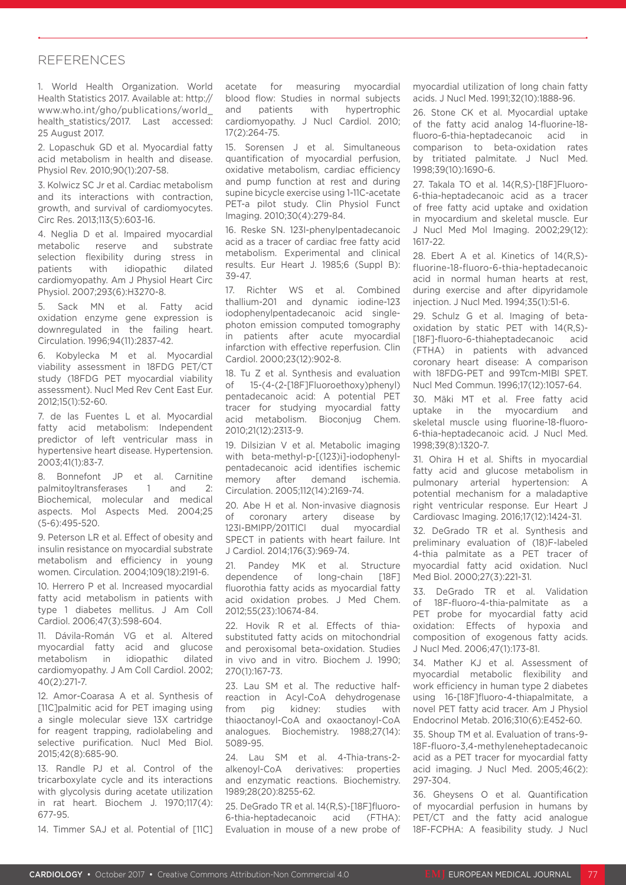#### REFERENCES

1. World Health Organization. World Health Statistics 2017. Available at: http:// www.who.int/gho/publications/world\_ health\_statistics/2017. Last accessed: 25 August 2017.

2. Lopaschuk GD et al. Myocardial fatty acid metabolism in health and disease. Physiol Rev. 2010;90(1):207-58.

3. Kolwicz SC Jr et al. Cardiac metabolism and its interactions with contraction, growth, and survival of cardiomyocytes. Circ Res. 2013;113(5):603-16.

4. Neglia D et al. Impaired myocardial metabolic reserve and substrate selection flexibility during stress in patients with idiopathic dilated cardiomyopathy. Am J Physiol Heart Circ Physiol. 2007;293(6):H3270-8.

5. Sack MN et al. Fatty acid oxidation enzyme gene expression is downregulated in the failing heart. Circulation. 1996;94(11):2837-42.

6. Kobylecka M et al. Myocardial viability assessment in 18FDG PET/CT study (18FDG PET myocardial viability assessment). Nucl Med Rev Cent East Eur. 2012;15(1):52-60.

7. de las Fuentes L et al. Myocardial fatty acid metabolism: Independent predictor of left ventricular mass in hypertensive heart disease. Hypertension. 2003;41(1):83-7.

8. Bonnefont JP et al. Carnitine palmitoyltransferases 1 and 2: Biochemical, molecular and medical aspects. Mol Aspects Med. 2004;25 (5-6):495-520.

9. Peterson LR et al. Effect of obesity and insulin resistance on myocardial substrate metabolism and efficiency in young women. Circulation. 2004;109(18):2191-6.

10. Herrero P et al. Increased myocardial fatty acid metabolism in patients with type 1 diabetes mellitus. J Am Coll Cardiol. 2006;47(3):598-604.

11. Dávila-Román VG et al. Altered myocardial fatty acid and glucose metabolism in idiopathic dilated cardiomyopathy. J Am Coll Cardiol. 2002; 40(2):271-7.

12. Amor-Coarasa A et al. Synthesis of [11C]palmitic acid for PET imaging using a single molecular sieve 13X cartridge for reagent trapping, radiolabeling and selective purification. Nucl Med Biol. 2015;42(8):685-90.

13. Randle PJ et al. Control of the tricarboxylate cycle and its interactions with glycolysis during acetate utilization in rat heart. Biochem J. 1970;117(4): 677-95.

14. Timmer SAJ et al. Potential of [11C]

acetate for measuring myocardial blood flow: Studies in normal subjects and patients with hypertrophic cardiomyopathy. J Nucl Cardiol. 2010; 17(2):264-75.

15. Sorensen J et al. Simultaneous quantification of myocardial perfusion, oxidative metabolism, cardiac efficiency and pump function at rest and during supine bicycle exercise using 1-11C-acetate PET-a pilot study. Clin Physiol Funct Imaging. 2010;30(4):279-84.

16. Reske SN. 123I-phenylpentadecanoic acid as a tracer of cardiac free fatty acid metabolism. Experimental and clinical results. Eur Heart J. 1985;6 (Suppl B): 39-47.

17. Richter WS et al. Combined thallium-201 and dynamic iodine-123 iodophenylpentadecanoic acid singlephoton emission computed tomography in patients after acute myocardial infarction with effective reperfusion. Clin Cardiol. 2000;23(12):902-8.

18. Tu Z et al. Synthesis and evaluation of 15-(4-(2-[18F]Fluoroethoxy)phenyl) pentadecanoic acid: A potential PET tracer for studying myocardial fatty acid metabolism. Bioconjug Chem. 2010;21(12):2313-9.

19. Dilsizian V et al. Metabolic imaging with beta-methyl-p-[(123)i]-iodophenylpentadecanoic acid identifies ischemic memory after demand ischemia. Circulation. 2005;112(14):2169-74.

20. Abe H et al. Non-invasive diagnosis of coronary artery disease by 123I-BMIPP/201TlCl dual myocardial SPECT in patients with heart failure. Int J Cardiol. 2014;176(3):969-74.

21. Pandey MK et al. Structure dependence of long-chain [18F] fluorothia fatty acids as myocardial fatty acid oxidation probes. J Med Chem. 2012;55(23):10674-84.

22. Hovik R et al. Effects of thiasubstituted fatty acids on mitochondrial and peroxisomal beta-oxidation. Studies in vivo and in vitro. Biochem J. 1990; 270(1):167-73.

23. Lau SM et al. The reductive halfreaction in Acyl-CoA dehydrogenase from pig kidney: studies with thiaoctanoyl-CoA and oxaoctanoyl-CoA analogues. Biochemistry. 1988;27(14): 5089-95.

24. Lau SM et al. 4-Thia-trans-2 alkenoyl-CoA derivatives: properties and enzymatic reactions. Biochemistry. 1989;28(20):8255-62.

25. DeGrado TR et al. 14(R,S)-[18F]fluoro-6-thia-heptadecanoic acid (FTHA): Evaluation in mouse of a new probe of myocardial utilization of long chain fatty acids. J Nucl Med. 1991;32(10):1888-96.

26. Stone CK et al. Myocardial uptake of the fatty acid analog 14-fluorine-18 fluoro-6-thia-heptadecanoic acid in comparison to beta-oxidation rates by tritiated palmitate. J Nucl Med. 1998;39(10):1690-6.

27. Takala TO et al. 14(R,S)-[18F]Fluoro-6-thia-heptadecanoic acid as a tracer of free fatty acid uptake and oxidation in myocardium and skeletal muscle. Eur J Nucl Med Mol Imaging. 2002;29(12): 1617-22.

28. Ebert A et al. Kinetics of 14(R,S) fluorine-18-fluoro-6-thia-heptadecanoic acid in normal human hearts at rest, during exercise and after dipyridamole injection. J Nucl Med. 1994;35(1):51-6.

29. Schulz G et al. Imaging of betaoxidation by static PET with 14(R,S)- [18F]-fluoro-6-thiaheptadecanoic acid (FTHA) in patients with advanced coronary heart disease: A comparison with 18FDG-PET and 99Tcm-MIBI SPET. Nucl Med Commun. 1996;17(12):1057-64.

30. Mäki MT et al. Free fatty acid uptake in the myocardium and skeletal muscle using fluorine-18-fluoro-6-thia-heptadecanoic acid. J Nucl Med. 1998;39(8):1320-7.

31. Ohira H et al. Shifts in myocardial fatty acid and glucose metabolism in pulmonary arterial hypertension: A potential mechanism for a maladaptive right ventricular response. Eur Heart J Cardiovasc Imaging. 2016;17(12):1424-31.

32. DeGrado TR et al. Synthesis and preliminary evaluation of (18)F-labeled 4-thia palmitate as a PET tracer of myocardial fatty acid oxidation. Nucl Med Biol. 2000;27(3):221-31.

33. DeGrado TR et al. Validation of 18F-fluoro-4-thia-palmitate as a PET probe for myocardial fatty acid oxidation: Effects of hypoxia and composition of exogenous fatty acids. J Nucl Med. 2006;47(1):173-81.

34. Mather KJ et al. Assessment of myocardial metabolic flexibility and work efficiency in human type 2 diabetes using 16-[18F]fluoro-4-thiapalmitate, a novel PET fatty acid tracer. Am J Physiol Endocrinol Metab. 2016;310(6):E452-60.

35. Shoup TM et al. Evaluation of trans-9- 18F-fluoro-3,4-methyleneheptadecanoic acid as a PET tracer for myocardial fatty acid imaging. J Nucl Med. 2005;46(2): 297-304.

36. Gheysens O et al. Quantification of myocardial perfusion in humans by PET/CT and the fatty acid analogue 18F-FCPHA: A feasibility study. J Nucl